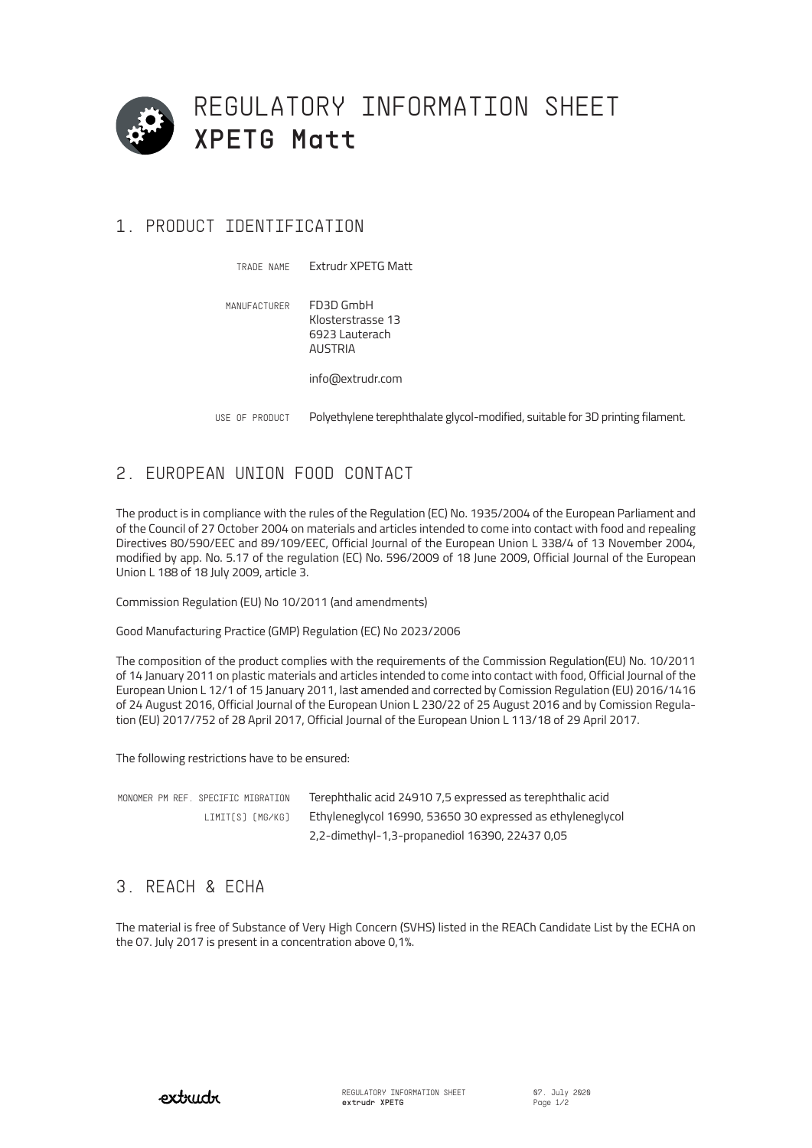

# 1. PRODUCT IDENTIFICATION

Extrudr XPETG Matt FD3D GmbH Klosterstrasse 13 6923 Lauterach AUSTRIA info@extrudr.com TRADE NAME MANUFACTURER

Polyethylene terephthalate glycol-modified, suitable for 3D printing filament. USE OF PRODUCT

# 2. EUROPEAN UNION FOOD CONTACT

The product is in compliance with the rules of the Regulation (EC) No. 1935/2004 of the European Parliament and of the Council of 27 October 2004 on materials and articles intended to come into contact with food and repealing Directives 80/590/EEC and 89/109/EEC, Official Journal of the European Union L 338/4 of 13 November 2004, modified by app. No. 5.17 of the regulation (EC) No. 596/2009 of 18 June 2009, Official Journal of the European Union L 188 of 18 July 2009, article 3.

Commission Regulation (EU) No 10/2011 (and amendments)

Good Manufacturing Practice (GMP) Regulation (EC) No 2023/2006

The composition of the product complies with the requirements of the Commission Regulation(EU) No. 10/2011 of 14 January 2011 on plastic materials and articles intended to come into contact with food, Official Journal of the European Union L 12/1 of 15 January 2011, last amended and corrected by Comission Regulation (EU) 2016/1416 of 24 August 2016, Official Journal of the European Union L 230/22 of 25 August 2016 and by Comission Regulation (EU) 2017/752 of 28 April 2017, Official Journal of the European Union L 113/18 of 29 April 2017.

The following restrictions have to be ensured:

| MONOMER PM REF. SPECIFIC MIGRATION | Terephthalic acid 24910 7,5 expressed as terephthalic acid |
|------------------------------------|------------------------------------------------------------|
| LIMIT[S] [MG/KG]                   | Ethyleneglycol 16990, 53650 30 expressed as ethyleneglycol |
|                                    | 2,2-dimethyl-1,3-propanediol 16390, 22437 0,05             |

### 3. REACH & ECHA

The material is free of Substance of Very High Concern (SVHS) listed in the REACh Candidate List by the ECHA on the 07. July 2017 is present in a concentration above 0,1%.